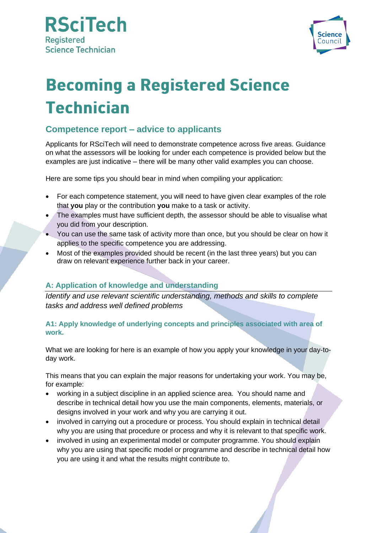



# **Becoming a Registered Science Technician**

# **Competence report – advice to applicants**

Applicants for RSciTech will need to demonstrate competence across five areas. Guidance on what the assessors will be looking for under each competence is provided below but the examples are just indicative – there will be many other valid examples you can choose.

Here are some tips you should bear in mind when compiling your application:

- For each competence statement, you will need to have given clear examples of the role that **you** play or the contribution **you** make to a task or activity.
- The examples must have sufficient depth, the assessor should be able to visualise what you did from your description.
- You can use the same task of activity more than once, but you should be clear on how it applies to the specific competence you are addressing.
- Most of the examples provided should be recent (in the last three years) but you can draw on relevant experience further back in your career.

# **A: Application of knowledge and understanding**

*Identify and use relevant scientific understanding, methods and skills to complete tasks and address well defined problems*

# **A1: Apply knowledge of underlying concepts and principles associated with area of work.**

What we are looking for here is an example of how you apply your knowledge in your day-today work.

This means that you can explain the major reasons for undertaking your work. You may be, for example:

- working in a subject discipline in an applied science area. You should name and describe in technical detail how you use the main components, elements, materials, or designs involved in your work and why you are carrying it out.
- involved in carrying out a procedure or process. You should explain in technical detail why you are using that procedure or process and why it is relevant to that specific work.
- involved in using an experimental model or computer programme. You should explain why you are using that specific model or programme and describe in technical detail how you are using it and what the results might contribute to.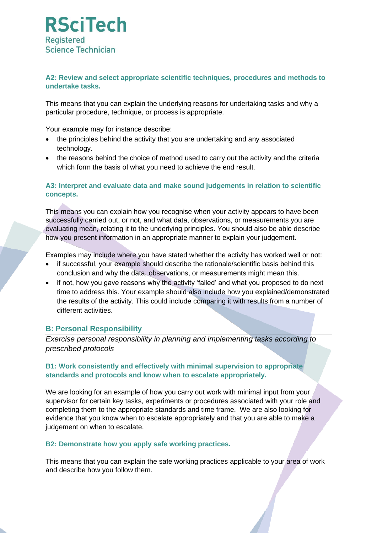

## **A2: Review and select appropriate scientific techniques, procedures and methods to undertake tasks.**

This means that you can explain the underlying reasons for undertaking tasks and why a particular procedure, technique, or process is appropriate.

Your example may for instance describe:

- the principles behind the activity that you are undertaking and any associated technology.
- the reasons behind the choice of method used to carry out the activity and the criteria which form the basis of what you need to achieve the end result.

## **A3: Interpret and evaluate data and make sound judgements in relation to scientific concepts.**

This means you can explain how you recognise when your activity appears to have been successfully carried out, or not, and what data, observations, or measurements you are evaluating mean, relating it to the underlying principles. You should also be able describe how you present information in an appropriate manner to explain your judgement.

Examples may include where you have stated whether the activity has worked well or not:

- if successful, your example should describe the rationale/scientific basis behind this conclusion and why the data, observations, or measurements might mean this.
- if not, how you gave reasons why the activity 'failed' and what you proposed to do next time to address this. Your example should also include how you explained/demonstrated the results of the activity. This could include comparing it with results from a number of different activities.

# **B: Personal Responsibility**

*Exercise personal responsibility in planning and implementing tasks according to prescribed protocols*

#### **B1: Work consistently and effectively with minimal supervision to appropriate standards and protocols and know when to escalate appropriately.**

We are looking for an example of how you carry out work with minimal input from your supervisor for certain key tasks, experiments or procedures associated with your role and completing them to the appropriate standards and time frame. We are also looking for evidence that you know when to escalate appropriately and that you are able to make a judgement on when to escalate.

#### **B2: Demonstrate how you apply safe working practices.**

This means that you can explain the safe working practices applicable to your area of work and describe how you follow them.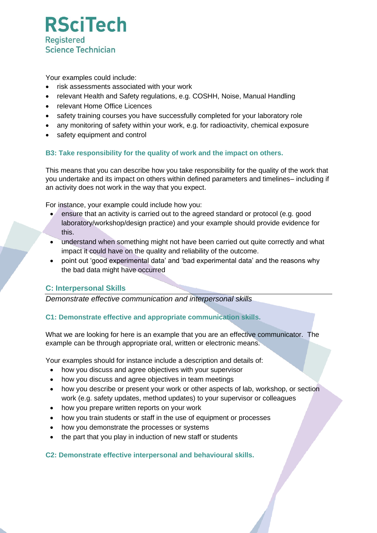

Your examples could include:

- risk assessments associated with your work
- relevant Health and Safety regulations, e.g. COSHH, Noise, Manual Handling
- relevant Home Office Licences
- safety training courses you have successfully completed for your laboratory role
- any monitoring of safety within your work, e.g. for radioactivity, chemical exposure
- safety equipment and control

# **B3: Take responsibility for the quality of work and the impact on others.**

This means that you can describe how you take responsibility for the quality of the work that you undertake and its impact on others within defined parameters and timelines– including if an activity does not work in the way that you expect.

For instance, your example could include how you:

- ensure that an activity is carried out to the agreed standard or protocol (e.g. good laboratory/workshop/design practice) and your example should provide evidence for this.
- understand when something might not have been carried out quite correctly and what impact it could have on the quality and reliability of the outcome.
- point out 'good experimental data' and 'bad experimental data' and the reasons why the bad data might have occurred

# **C: Interpersonal Skills**

*Demonstrate effective communication and interpersonal skills*

# **C1: Demonstrate effective and appropriate communication skills.**

What we are looking for here is an example that you are an effective communicator. The example can be through appropriate oral, written or electronic means.

Your examples should for instance include a description and details of:

- how you discuss and agree objectives with your supervisor
- how you discuss and agree objectives in team meetings
- how you describe or present your work or other aspects of lab, workshop, or section work (e.g. safety updates, method updates) to your supervisor or colleagues
- how you prepare written reports on your work
- how you train students or staff in the use of equipment or processes
- how you demonstrate the processes or systems
- the part that you play in induction of new staff or students

#### **C2: Demonstrate effective interpersonal and behavioural skills.**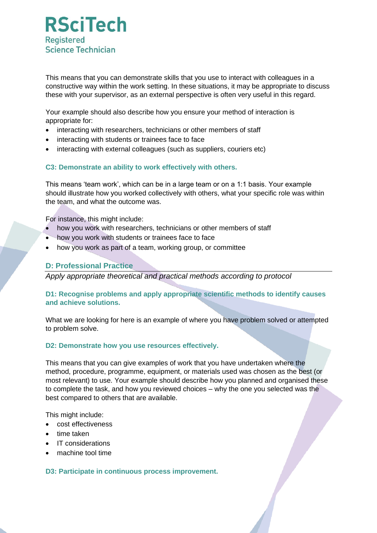

This means that you can demonstrate skills that you use to interact with colleagues in a constructive way within the work setting. In these situations, it may be appropriate to discuss these with your supervisor, as an external perspective is often very useful in this regard.

Your example should also describe how you ensure your method of interaction is appropriate for:

- interacting with researchers, technicians or other members of staff
- interacting with students or trainees face to face
- interacting with external colleagues (such as suppliers, couriers etc)

#### **C3: Demonstrate an ability to work effectively with others.**

This means 'team work', which can be in a large team or on a 1:1 basis. Your example should illustrate how you worked collectively with others, what your specific role was within the team, and what the outcome was.

For instance, this might include:

- how you work with researchers, technicians or other members of staff
- how you work with students or trainees face to face
- how you work as part of a team, working group, or committee

#### **D: Professional Practice**

*Apply appropriate theoretical and practical methods according to protocol*

## **D1: Recognise problems and apply appropriate scientific methods to identify causes and achieve solutions.**

What we are looking for here is an example of where you have problem solved or attempted to problem solve.

#### **D2: Demonstrate how you use resources effectively.**

This means that you can give examples of work that you have undertaken where the method, procedure, programme, equipment, or materials used was chosen as the best (or most relevant) to use. Your example should describe how you planned and organised these to complete the task, and how you reviewed choices – why the one you selected was the best compared to others that are available.

This might include:

- cost effectiveness
- time taken
- IT considerations
- machine tool time

#### **D3: Participate in continuous process improvement.**